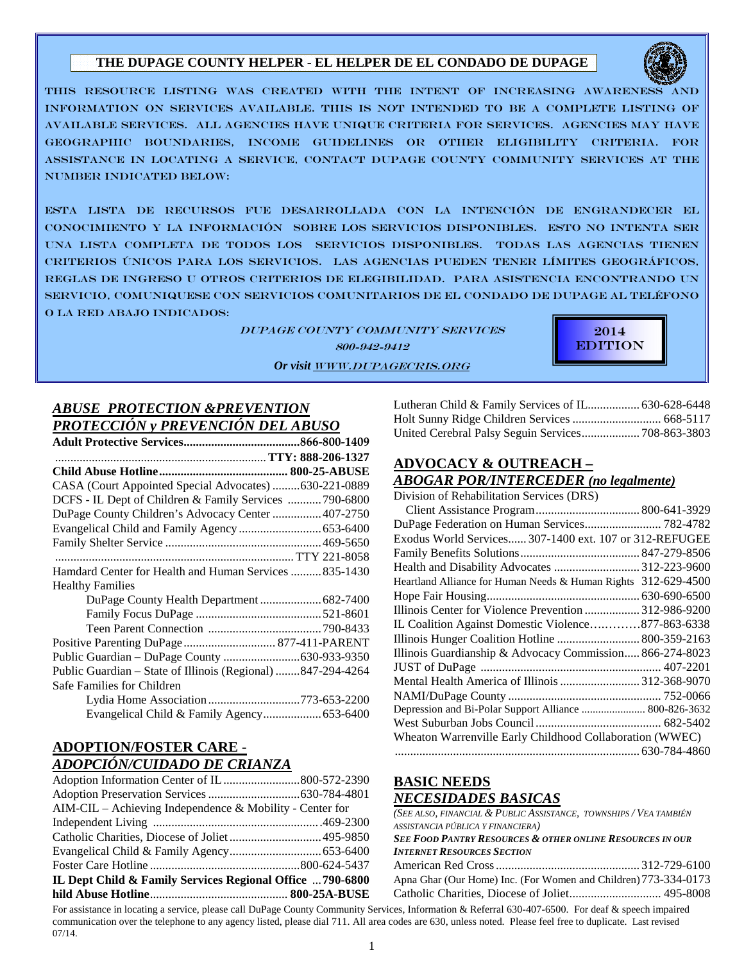# **THE DUPAGE COUNTY HELPER - EL HELPER DE EL CONDADO DE DUPAGE**



THIS RESOURCE LISTING WAS CREATED WITH THE INTENT OF INCREASING AWARENESS AND INFORMATION ON SERVICES AVAILABLE. THIS IS NOT INTENDED TO BE A COMPLETE LISTING OF AVAILABLE SERVICES. ALL AGENCIES HAVE UNIQUE CRITERIA FOR SERVICES. AGENCIES MAY HAVE GEOGRAPHIC BOUNDARIES, INCOME GUIDELINES OR OTHER ELIGIBILITY CRITERIA. FOR ASSISTANCE IN LOCATING A SERVICE, CONTACT DUPAGE COUNTY COMMUNITY SERVICES AT THE NUMBER INDICATED BELOW:

ESTA LISTA DE RECURSOS FUE DESARROLLADA CON LA INTENCIÓN DE ENGRANDECER EL CONOCIMIENTO Y LA INFORMACIÓN SOBRE LOS SERVICIOS DISPONIBLES. ESTO NO INTENTA SER UNA LISTA COMPLETA DE TODOS LOS SERVICIOS DISPONIBLES. TODAS LAS AGENCIAS TIENEN CRITERIOS ÚNICOS PARA LOS SERVICIOS. LAS AGENCIAS PUEDEN TENER LÍMITES GEOGRÁFICOS, REGLAS DE INGRESO U OTROS CRITERIOS DE eLEGIBILIDAD. PARA ASISTENCIA ENCONTRANDO UN SERVICIO, COMUNIQUESE CON SERVICIOS COMUNITARIOS DE EL CONDADO DE DUPAGE AL TELÉFONO O LA RED ABAJO INDICADOS:

> DUPAGE COUNTY COMMUNITY SERVICES 800-942-9412 *Or visit* WWW.DUPAGECRIS.ORG



# *ABUSE PROTECTION &PREVENTION* *PROTECCIÓN y PREVENCIÓN DEL ABUSO*

| CASA (Court Appointed Special Advocates) 630-221-0889       |
|-------------------------------------------------------------|
| DCFS - IL Dept of Children & Family Services  790-6800      |
| DuPage County Children's Advocacy Center  407-2750          |
|                                                             |
|                                                             |
|                                                             |
| Hamdard Center for Health and Human Services  835-1430      |
| <b>Healthy Families</b>                                     |
|                                                             |
|                                                             |
|                                                             |
| Positive Parenting DuPage  877-411-PARENT                   |
| Public Guardian - DuPage County 630-933-9350                |
| Public Guardian - State of Illinois (Regional) 847-294-4264 |
| Safe Families for Children                                  |
| Lydia Home Association 773-653-2200                         |
|                                                             |

## **ADOPTION/FOSTER CARE -**  *ADOPCIÓN/CUIDADO DE CRIANZA*

| $AIM-CL$ – Achieving Independence & Mobility - Center for |  |
|-----------------------------------------------------------|--|
|                                                           |  |
| Catholic Charities, Diocese of Joliet 495-9850            |  |
|                                                           |  |
|                                                           |  |
| IL Dept Child & Family Services Regional Office  790-6800 |  |
|                                                           |  |

Lutheran Child & Family Services of IL................. 630-628-6448 Holt Sunny Ridge Children Services ............................. 668-5117 United Cerebral Palsy Seguin Services ................... 708-863-3803

# **ADVOCACY & OUTREACH –**

## *ABOGAR POR/INTERCEDER (no legalmente)*

Division of Rehabilitation Services (DRS)

| $1010 \text{ m}$ of regimentation bet (1000 (Dre))             |  |
|----------------------------------------------------------------|--|
|                                                                |  |
| DuPage Federation on Human Services 782-4782                   |  |
| Exodus World Services 307-1400 ext. 107 or 312-REFUGEE         |  |
|                                                                |  |
| Health and Disability Advocates 312-223-9600                   |  |
| Heartland Alliance for Human Needs & Human Rights 312-629-4500 |  |
|                                                                |  |
| Illinois Center for Violence Prevention  312-986-9200          |  |
| IL Coalition Against Domestic Violence877-863-6338             |  |
| Illinois Hunger Coalition Hotline  800-359-2163                |  |
| Illinois Guardianship & Advocacy Commission 866-274-8023       |  |
|                                                                |  |
| Mental Health America of Illinois 312-368-9070                 |  |
|                                                                |  |
| Depression and Bi-Polar Support Alliance  800-826-3632         |  |
|                                                                |  |
| Wheaton Warrenville Early Childhood Collaboration (WWEC)       |  |
|                                                                |  |
|                                                                |  |

## **BASIC NEEDS**  *NECESIDADES BASICAS*

#### *(SEE ALSO, FINANCIAL & PUBLIC ASSISTANCE, TOWNSHIPS / VEA TAMBIÉN ASSISTANCIA PÚBLICA Y FINANCIERA) SEE FOOD PANTRY RESOURCES & OTHER ONLINE RESOURCES IN OUR INTERNET RESOURCES SECTION* American Red Cross ............................................... 312-729-6100 Apna Ghar (Our Home) Inc. (For Women and Children) 773-334-0173 Catholic Charities, Diocese of Joliet .............................. 495-8008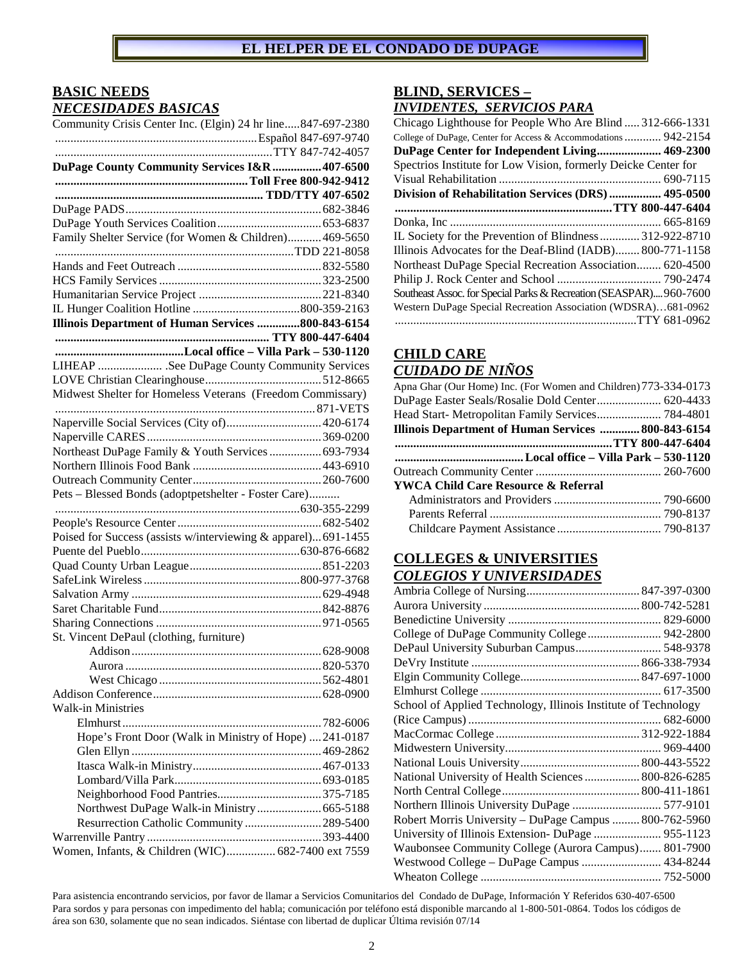# **BASIC NEEDS**  *NECESIDADES BASICAS*

| Community Crisis Center Inc. (Elgin) 24 hr line847-697-2380    |
|----------------------------------------------------------------|
|                                                                |
|                                                                |
| DuPage County Community Services I&R  407-6500                 |
|                                                                |
|                                                                |
|                                                                |
|                                                                |
| Family Shelter Service (for Women & Children) 469-5650         |
|                                                                |
|                                                                |
|                                                                |
|                                                                |
|                                                                |
| Illinois Department of Human Services 800-843-6154             |
|                                                                |
|                                                                |
| LIHEAP  See DuPage County Community Services                   |
|                                                                |
| Midwest Shelter for Homeless Veterans (Freedom Commissary)     |
|                                                                |
| Naperville Social Services (City of) 420-6174                  |
|                                                                |
| Northeast DuPage Family & Youth Services  693-7934             |
|                                                                |
|                                                                |
| Pets - Blessed Bonds (adoptpetshelter - Foster Care)           |
|                                                                |
|                                                                |
| Poised for Success (assists w/interviewing & apparel) 691-1455 |
|                                                                |
|                                                                |
|                                                                |
|                                                                |
|                                                                |
|                                                                |
| St. Vincent DePaul (clothing, furniture)                       |
|                                                                |
|                                                                |
|                                                                |
|                                                                |
| <b>Walk-in Ministries</b>                                      |
|                                                                |
| Hope's Front Door (Walk in Ministry of Hope)  241-0187         |
|                                                                |
|                                                                |
|                                                                |
|                                                                |
|                                                                |
| Northwest DuPage Walk-in Ministry 665-5188                     |
| Resurrection Catholic Community  289-5400                      |
|                                                                |
| Women, Infants, & Children (WIC) 682-7400 ext 7559             |

## **BLIND, SERVICES –**  *INVIDENTES, SERVICIOS PARA*

| Chicago Lighthouse for People Who Are Blind  312-666-1331          |
|--------------------------------------------------------------------|
| College of DuPage, Center for Access & Accommodations 942-2154     |
| DuPage Center for Independent Living 469-2300                      |
| Spectrios Institute for Low Vision, formerly Deicke Center for     |
|                                                                    |
| Division of Rehabilitation Services (DRS) 495-0500                 |
|                                                                    |
|                                                                    |
| IL Society for the Prevention of Blindness  312-922-8710           |
| Illinois Advocates for the Deaf-Blind (IADB)800-771-1158           |
| Northeast DuPage Special Recreation Association 620-4500           |
|                                                                    |
| Southeast Assoc. for Special Parks & Recreation (SEASPAR) 960-7600 |
| Western DuPage Special Recreation Association (WDSRA)681-0962      |
|                                                                    |

# **CHILD CARE**  *CUIDADO DE NIÑOS*

| Apna Ghar (Our Home) Inc. (For Women and Children) 773-334-0173 |  |
|-----------------------------------------------------------------|--|
| DuPage Easter Seals/Rosalie Dold Center 620-4433                |  |
| Head Start- Metropolitan Family Services 784-4801               |  |
| Illinois Department of Human Services  800-843-6154             |  |
|                                                                 |  |
|                                                                 |  |
|                                                                 |  |
| YWCA Child Care Resource & Referral                             |  |
|                                                                 |  |
|                                                                 |  |
|                                                                 |  |
|                                                                 |  |

## **COLLEGES & UNIVERSITIES**  *COLEGIOS Y UNIVERSIDADES*

| College of DuPage Community College 942-2800                   |  |
|----------------------------------------------------------------|--|
| DePaul University Suburban Campus 548-9378                     |  |
|                                                                |  |
|                                                                |  |
|                                                                |  |
| School of Applied Technology, Illinois Institute of Technology |  |
|                                                                |  |
|                                                                |  |
|                                                                |  |
|                                                                |  |
| National University of Health Sciences  800-826-6285           |  |
|                                                                |  |
| Northern Illinois University DuPage  577-9101                  |  |
| Robert Morris University - DuPage Campus  800-762-5960         |  |
| University of Illinois Extension- DuPage  955-1123             |  |
| Waubonsee Community College (Aurora Campus) 801-7900           |  |
| Westwood College - DuPage Campus  434-8244                     |  |
|                                                                |  |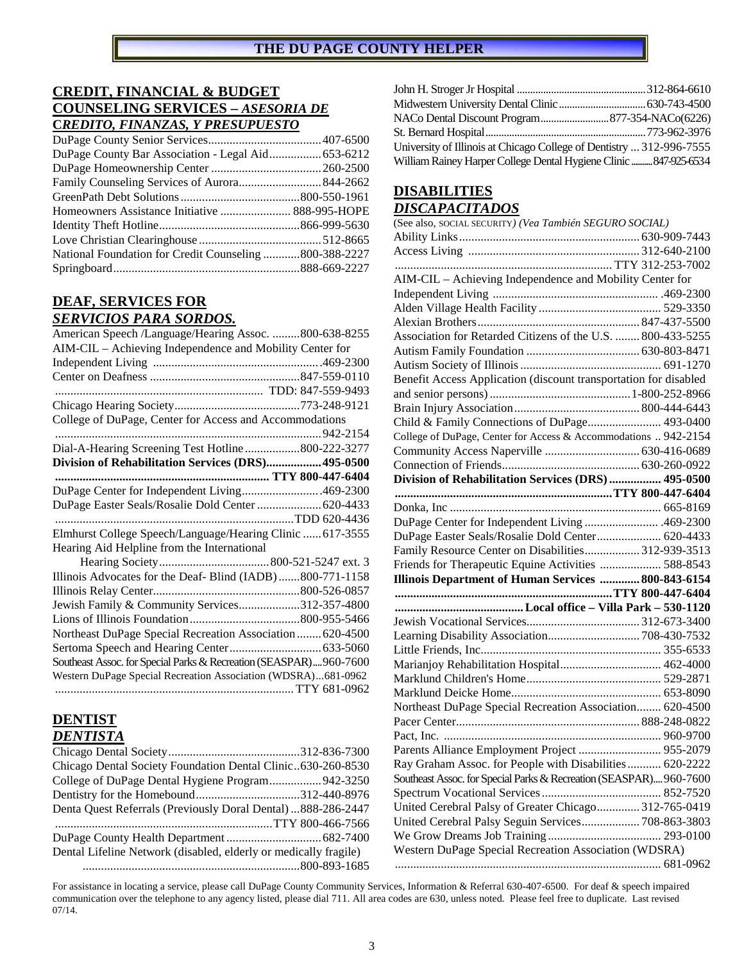# **CREDIT, FINANCIAL & BUDGET COUNSELING SERVICES –** *ASESORIA DE* **C***REDITO, FINANZAS, Y PRESUPUESTO*

| DuPage County Bar Association - Legal Aid 653-6212    |  |
|-------------------------------------------------------|--|
|                                                       |  |
| Family Counseling Services of Aurora 844-2662         |  |
|                                                       |  |
|                                                       |  |
|                                                       |  |
|                                                       |  |
| National Foundation for Credit Counseling800-388-2227 |  |
|                                                       |  |

# **DEAF, SERVICES FOR**

## *SERVICIOS PARA SORDOS.*

| American Speech /Language/Hearing Assoc. 800-638-8255             |              |
|-------------------------------------------------------------------|--------------|
| AIM-CIL - Achieving Independence and Mobility Center for          |              |
|                                                                   |              |
|                                                                   |              |
|                                                                   |              |
|                                                                   |              |
| College of DuPage, Center for Access and Accommodations           |              |
|                                                                   |              |
| Dial-A-Hearing Screening Test Hotline800-222-3277                 |              |
| Division of Rehabilitation Services (DRS) 495-0500                |              |
|                                                                   |              |
| DuPage Center for Independent Living469-2300                      |              |
| DuPage Easter Seals/Rosalie Dold Center  620-4433                 |              |
|                                                                   | TDD 620-4436 |
| Elmhurst College Speech/Language/Hearing Clinic  617-3555         |              |
| Hearing Aid Helpline from the International                       |              |
|                                                                   |              |
| Illinois Advocates for the Deaf-Blind (IADB)800-771-1158          |              |
|                                                                   |              |
| Jewish Family & Community Services312-357-4800                    |              |
|                                                                   |              |
| Northeast DuPage Special Recreation Association  620-4500         |              |
|                                                                   |              |
| Southeast Assoc. for Special Parks & Recreation (SEASPAR)960-7600 |              |
| Western DuPage Special Recreation Association (WDSRA)681-0962     |              |
|                                                                   |              |

## **DENTIST**  *DENTISTA*

| Chicago Dental Society Foundation Dental Clinic630-260-8530      |
|------------------------------------------------------------------|
| College of DuPage Dental Hygiene Program 942-3250                |
|                                                                  |
| Denta Quest Referrals (Previously Doral Dental) 888-286-2447     |
|                                                                  |
|                                                                  |
| Dental Lifeline Network (disabled, elderly or medically fragile) |
|                                                                  |

| University of Illinois at Chicago College of Dentistry  312-996-7555 |  |
|----------------------------------------------------------------------|--|
| William Rainey Harper College Dental Hygiene Clinic  847-925-6534    |  |

# **DISABILITIES**  *DISCAPACITADOS*

| (See also, SOCIAL SECURITY) (Vea También SEGURO SOCIAL)            |  |
|--------------------------------------------------------------------|--|
|                                                                    |  |
|                                                                    |  |
|                                                                    |  |
| AIM-CIL - Achieving Independence and Mobility Center for           |  |
|                                                                    |  |
|                                                                    |  |
|                                                                    |  |
| Association for Retarded Citizens of the U.S.  800-433-5255        |  |
|                                                                    |  |
|                                                                    |  |
| Benefit Access Application (discount transportation for disabled   |  |
|                                                                    |  |
|                                                                    |  |
| Child & Family Connections of DuPage 493-0400                      |  |
| College of DuPage, Center for Access & Accommodations  942-2154    |  |
|                                                                    |  |
|                                                                    |  |
| Division of Rehabilitation Services (DRS) 495-0500                 |  |
|                                                                    |  |
|                                                                    |  |
| DuPage Center for Independent Living  469-2300                     |  |
| DuPage Easter Seals/Rosalie Dold Center 620-4433                   |  |
| Family Resource Center on Disabilities 312-939-3513                |  |
| Friends for Therapeutic Equine Activities  588-8543                |  |
| Illinois Department of Human Services  800-843-6154                |  |
|                                                                    |  |
|                                                                    |  |
|                                                                    |  |
| Learning Disability Association 708-430-7532                       |  |
|                                                                    |  |
| Marianjoy Rehabilitation Hospital 462-4000                         |  |
|                                                                    |  |
|                                                                    |  |
| Northeast DuPage Special Recreation Association 620-4500           |  |
|                                                                    |  |
|                                                                    |  |
| Parents Alliance Employment Project  955-2079                      |  |
| Ray Graham Assoc. for People with Disabilities 620-2222            |  |
|                                                                    |  |
|                                                                    |  |
| Southeast Assoc. for Special Parks & Recreation (SEASPAR) 960-7600 |  |
| United Cerebral Palsy of Greater Chicago 312-765-0419              |  |
|                                                                    |  |
| United Cerebral Palsy Seguin Services 708-863-3803                 |  |
| Western DuPage Special Recreation Association (WDSRA)              |  |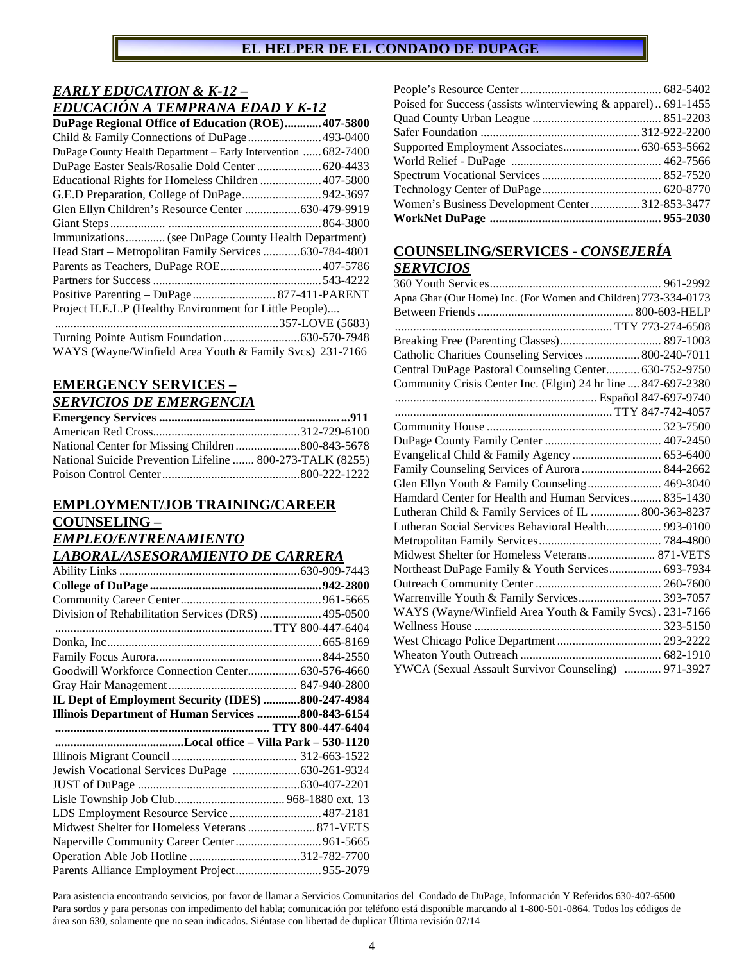# *EARLY EDUCATION & K-12 –*

| EDUCACIÓN A TEMPRANA EDAD Y K-12                               |
|----------------------------------------------------------------|
| DuPage Regional Office of Education (ROE) 407-5800             |
|                                                                |
| DuPage County Health Department - Early Intervention  682-7400 |
| DuPage Easter Seals/Rosalie Dold Center  620-4433              |
| Educational Rights for Homeless Children  407-5800             |
| G.E.D Preparation, College of DuPage 942-3697                  |
| Glen Ellyn Children's Resource Center 630-479-9919             |
|                                                                |
| Immunizations (see DuPage County Health Department)            |
| Head Start - Metropolitan Family Services  630-784-4801        |
|                                                                |
|                                                                |
| Positive Parenting - DuPage  877-411-PARENT                    |
| Project H.E.L.P (Healthy Environment for Little People)        |
|                                                                |
|                                                                |
| WAYS (Wayne/Winfield Area Youth & Family Svcs.) 231-7166       |

#### **EMERGENCY SERVICES –**  *SERVICIOS DE EMERGENCIA*

| National Suicide Prevention Lifeline  800-273-TALK (8255) |  |
|-----------------------------------------------------------|--|
|                                                           |  |

# **EMPLOYMENT/JOB TRAINING/CAREER COUNSELING –**  *EMPLEO/ENTRENAMIENTO*

*LABORAL/ASESORAMIENTO DE CARRERA* 

| Division of Rehabilitation Services (DRS)  495-0500 |  |
|-----------------------------------------------------|--|
|                                                     |  |
|                                                     |  |
|                                                     |  |
|                                                     |  |
|                                                     |  |
| IL Dept of Employment Security (IDES) 800-247-4984  |  |
| Illinois Department of Human Services 800-843-6154  |  |
|                                                     |  |
|                                                     |  |
|                                                     |  |
|                                                     |  |
| Jewish Vocational Services DuPage 630-261-9324      |  |
|                                                     |  |
|                                                     |  |
| LDS Employment Resource Service  487-2181           |  |
|                                                     |  |
|                                                     |  |
| Naperville Community Career Center  961-5665        |  |

| Poised for Success (assists w/interviewing & apparel) 691-1455 |  |
|----------------------------------------------------------------|--|
|                                                                |  |
|                                                                |  |
|                                                                |  |
|                                                                |  |
|                                                                |  |
|                                                                |  |
| Women's Business Development Center312-853-3477                |  |
|                                                                |  |

# **COUNSELING/SERVICES -** *CONSEJERÍA SERVICIOS*

| Apna Ghar (Our Home) Inc. (For Women and Children) 773-334-0173 |
|-----------------------------------------------------------------|
|                                                                 |
|                                                                 |
|                                                                 |
| Catholic Charities Counseling Services 800-240-7011             |
| Central DuPage Pastoral Counseling Center 630-752-9750          |
| Community Crisis Center Inc. (Elgin) 24 hr line  847-697-2380   |
|                                                                 |
|                                                                 |
|                                                                 |
|                                                                 |
| Evangelical Child & Family Agency  653-6400                     |
| Family Counseling Services of Aurora  844-2662                  |
| Glen Ellyn Youth & Family Counseling 469-3040                   |
| Hamdard Center for Health and Human Services 835-1430           |
| Lutheran Child & Family Services of IL  800-363-8237            |
| Lutheran Social Services Behavioral Health 993-0100             |
|                                                                 |
| Midwest Shelter for Homeless Veterans 871-VETS                  |
| Northeast DuPage Family & Youth Services 693-7934               |
|                                                                 |
| Warrenville Youth & Family Services 393-7057                    |
| WAYS (Wayne/Winfield Area Youth & Family Svcs.). 231-7166       |
|                                                                 |
|                                                                 |
|                                                                 |
| YWCA (Sexual Assault Survivor Counseling)  971-3927             |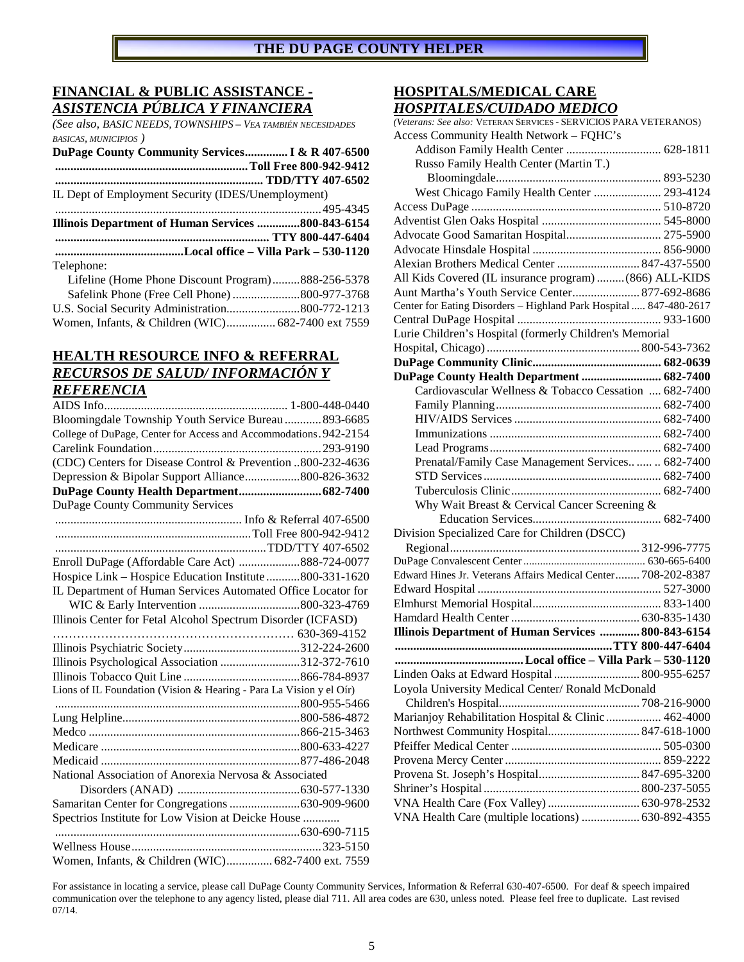## **FINANCIAL & PUBLIC ASSISTANCE -**  *ASISTENCIA PÚBLICA Y FINANCIERA*

*(See also, BASIC NEEDS, TOWNSHIPS – VEA TAMBIÉN NECESIDADES BASICAS, MUNICIPIOS )*

| DuPage County Community Services I & R 407-6500    |  |
|----------------------------------------------------|--|
|                                                    |  |
|                                                    |  |
| IL Dept of Employment Security (IDES/Unemployment) |  |
|                                                    |  |
| Illinois Department of Human Services 800-843-6154 |  |
|                                                    |  |
|                                                    |  |
| Telephone:                                         |  |
| Lifeline (Home Phone Discount Program)888-256-5378 |  |
|                                                    |  |
|                                                    |  |

Women, Infants, & Children (WIC) ................ 682-7400 ext 7559

# **HEALTH RESOURCE INFO & REFERRAL**  *RECURSOS DE SALUD/ INFORMACIÓN Y REFERENCIA*

| Bloomingdale Township Youth Service Bureau  893-6685                |
|---------------------------------------------------------------------|
| College of DuPage, Center for Access and Accommodations. 942-2154   |
|                                                                     |
| (CDC) Centers for Disease Control & Prevention 800-232-4636         |
| Depression & Bipolar Support Alliance800-826-3632                   |
|                                                                     |
| DuPage County Community Services                                    |
|                                                                     |
|                                                                     |
|                                                                     |
| Enroll DuPage (Affordable Care Act) 888-724-0077                    |
| Hospice Link - Hospice Education Institute 800-331-1620             |
| IL Department of Human Services Automated Office Locator for        |
|                                                                     |
| Illinois Center for Fetal Alcohol Spectrum Disorder (ICFASD)        |
|                                                                     |
|                                                                     |
| Illinois Psychological Association 312-372-7610                     |
|                                                                     |
| Lions of IL Foundation (Vision & Hearing - Para La Vision y el Oír) |
|                                                                     |
|                                                                     |
|                                                                     |
|                                                                     |
|                                                                     |
| National Association of Anorexia Nervosa & Associated               |
|                                                                     |
|                                                                     |
| Spectrios Institute for Low Vision at Deicke House                  |
|                                                                     |
|                                                                     |
| Women, Infants, & Children (WIC) 682-7400 ext. 7559                 |

## **HOSPITALS/MEDICAL CARE**  *HOSPITALES/CUIDADO MEDICO*

| $\mu$<br>o mbdiwo                                                  |  |
|--------------------------------------------------------------------|--|
| (Veterans: See also: VETERAN SERVICES - SERVICIOS PARA VETERANOS)  |  |
| Access Community Health Network - FQHC's                           |  |
|                                                                    |  |
| Russo Family Health Center (Martin T.)                             |  |
| West Chicago Family Health Center  293-4124                        |  |
|                                                                    |  |
|                                                                    |  |
|                                                                    |  |
| Advocate Good Samaritan Hospital 275-5900                          |  |
|                                                                    |  |
| Alexian Brothers Medical Center  847-437-5500                      |  |
| All Kids Covered (IL insurance program)  (866) ALL-KIDS            |  |
| Aunt Martha's Youth Service Center 877-692-8686                    |  |
| Center for Eating Disorders - Highland Park Hospital  847-480-2617 |  |
|                                                                    |  |
| Lurie Children's Hospital (formerly Children's Memorial            |  |
|                                                                    |  |
|                                                                    |  |
| DuPage County Health Department  682-7400                          |  |
| Cardiovascular Wellness & Tobacco Cessation  682-7400              |  |
|                                                                    |  |
|                                                                    |  |
|                                                                    |  |
|                                                                    |  |
| Prenatal/Family Case Management Services   682-7400                |  |
|                                                                    |  |
|                                                                    |  |
| Why Wait Breast & Cervical Cancer Screening &                      |  |
|                                                                    |  |
| Division Specialized Care for Children (DSCC)                      |  |
|                                                                    |  |
|                                                                    |  |
| Edward Hines Jr. Veterans Affairs Medical Center 708-202-8387      |  |
|                                                                    |  |
|                                                                    |  |
|                                                                    |  |
| Illinois Department of Human Services  800-843-6154                |  |
|                                                                    |  |
|                                                                    |  |
| Linden Oaks at Edward Hospital  800-955-6257                       |  |
| Loyola University Medical Center/ Ronald McDonald                  |  |
|                                                                    |  |
| Marianjoy Rehabilitation Hospital & Clinic  462-4000               |  |
|                                                                    |  |
|                                                                    |  |
|                                                                    |  |
|                                                                    |  |
|                                                                    |  |
|                                                                    |  |
| VNA Health Care (multiple locations)  630-892-4355                 |  |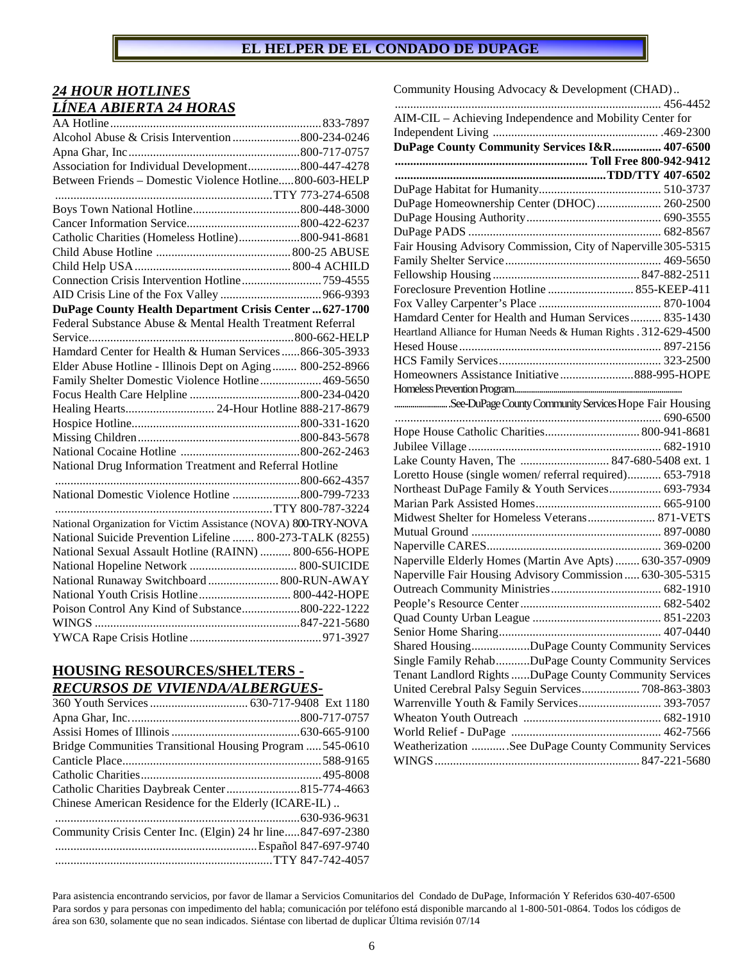# *24 HOUR HOTLINES LÍNEA ABIERTA 24 HORAS*

| Alcohol Abuse & Crisis Intervention 800-234-0246<br>Association for Individual Development800-447-4278<br>Between Friends - Domestic Violence Hotline800-603-HELP<br>Catholic Charities (Homeless Hotline)800-941-8681<br>Connection Crisis Intervention Hotline759-4555<br>DuPage County Health Department Crisis Center  627-1700<br>Federal Substance Abuse & Mental Health Treatment Referral<br>Hamdard Center for Health & Human Services 866-305-3933<br>Elder Abuse Hotline - Illinois Dept on Aging  800-252-8966<br>Family Shelter Domestic Violence Hotline 469-5650<br>Healing Hearts 24-Hour Hotline 888-217-8679<br>National Drug Information Treatment and Referral Hotline<br>National Domestic Violence Hotline 800-799-7233<br>National Organization for Victim Assistance (NOVA) 800-TRY-NOVA<br>National Suicide Prevention Lifeline  800-273-TALK (8255)<br>National Sexual Assault Hotline (RAINN)  800-656-HOPE<br>National Runaway Switchboard  800-RUN-AWAY<br>National Youth Crisis Hotline 800-442-HOPE<br>Poison Control Any Kind of Substance800-222-1222 |  |
|----------------------------------------------------------------------------------------------------------------------------------------------------------------------------------------------------------------------------------------------------------------------------------------------------------------------------------------------------------------------------------------------------------------------------------------------------------------------------------------------------------------------------------------------------------------------------------------------------------------------------------------------------------------------------------------------------------------------------------------------------------------------------------------------------------------------------------------------------------------------------------------------------------------------------------------------------------------------------------------------------------------------------------------------------------------------------------------|--|
|                                                                                                                                                                                                                                                                                                                                                                                                                                                                                                                                                                                                                                                                                                                                                                                                                                                                                                                                                                                                                                                                                        |  |
|                                                                                                                                                                                                                                                                                                                                                                                                                                                                                                                                                                                                                                                                                                                                                                                                                                                                                                                                                                                                                                                                                        |  |
|                                                                                                                                                                                                                                                                                                                                                                                                                                                                                                                                                                                                                                                                                                                                                                                                                                                                                                                                                                                                                                                                                        |  |
|                                                                                                                                                                                                                                                                                                                                                                                                                                                                                                                                                                                                                                                                                                                                                                                                                                                                                                                                                                                                                                                                                        |  |
|                                                                                                                                                                                                                                                                                                                                                                                                                                                                                                                                                                                                                                                                                                                                                                                                                                                                                                                                                                                                                                                                                        |  |
|                                                                                                                                                                                                                                                                                                                                                                                                                                                                                                                                                                                                                                                                                                                                                                                                                                                                                                                                                                                                                                                                                        |  |
|                                                                                                                                                                                                                                                                                                                                                                                                                                                                                                                                                                                                                                                                                                                                                                                                                                                                                                                                                                                                                                                                                        |  |
|                                                                                                                                                                                                                                                                                                                                                                                                                                                                                                                                                                                                                                                                                                                                                                                                                                                                                                                                                                                                                                                                                        |  |
|                                                                                                                                                                                                                                                                                                                                                                                                                                                                                                                                                                                                                                                                                                                                                                                                                                                                                                                                                                                                                                                                                        |  |
|                                                                                                                                                                                                                                                                                                                                                                                                                                                                                                                                                                                                                                                                                                                                                                                                                                                                                                                                                                                                                                                                                        |  |
|                                                                                                                                                                                                                                                                                                                                                                                                                                                                                                                                                                                                                                                                                                                                                                                                                                                                                                                                                                                                                                                                                        |  |
|                                                                                                                                                                                                                                                                                                                                                                                                                                                                                                                                                                                                                                                                                                                                                                                                                                                                                                                                                                                                                                                                                        |  |
|                                                                                                                                                                                                                                                                                                                                                                                                                                                                                                                                                                                                                                                                                                                                                                                                                                                                                                                                                                                                                                                                                        |  |
|                                                                                                                                                                                                                                                                                                                                                                                                                                                                                                                                                                                                                                                                                                                                                                                                                                                                                                                                                                                                                                                                                        |  |
|                                                                                                                                                                                                                                                                                                                                                                                                                                                                                                                                                                                                                                                                                                                                                                                                                                                                                                                                                                                                                                                                                        |  |
|                                                                                                                                                                                                                                                                                                                                                                                                                                                                                                                                                                                                                                                                                                                                                                                                                                                                                                                                                                                                                                                                                        |  |
|                                                                                                                                                                                                                                                                                                                                                                                                                                                                                                                                                                                                                                                                                                                                                                                                                                                                                                                                                                                                                                                                                        |  |
|                                                                                                                                                                                                                                                                                                                                                                                                                                                                                                                                                                                                                                                                                                                                                                                                                                                                                                                                                                                                                                                                                        |  |
|                                                                                                                                                                                                                                                                                                                                                                                                                                                                                                                                                                                                                                                                                                                                                                                                                                                                                                                                                                                                                                                                                        |  |
|                                                                                                                                                                                                                                                                                                                                                                                                                                                                                                                                                                                                                                                                                                                                                                                                                                                                                                                                                                                                                                                                                        |  |
|                                                                                                                                                                                                                                                                                                                                                                                                                                                                                                                                                                                                                                                                                                                                                                                                                                                                                                                                                                                                                                                                                        |  |
|                                                                                                                                                                                                                                                                                                                                                                                                                                                                                                                                                                                                                                                                                                                                                                                                                                                                                                                                                                                                                                                                                        |  |
|                                                                                                                                                                                                                                                                                                                                                                                                                                                                                                                                                                                                                                                                                                                                                                                                                                                                                                                                                                                                                                                                                        |  |
|                                                                                                                                                                                                                                                                                                                                                                                                                                                                                                                                                                                                                                                                                                                                                                                                                                                                                                                                                                                                                                                                                        |  |
|                                                                                                                                                                                                                                                                                                                                                                                                                                                                                                                                                                                                                                                                                                                                                                                                                                                                                                                                                                                                                                                                                        |  |
|                                                                                                                                                                                                                                                                                                                                                                                                                                                                                                                                                                                                                                                                                                                                                                                                                                                                                                                                                                                                                                                                                        |  |
|                                                                                                                                                                                                                                                                                                                                                                                                                                                                                                                                                                                                                                                                                                                                                                                                                                                                                                                                                                                                                                                                                        |  |
|                                                                                                                                                                                                                                                                                                                                                                                                                                                                                                                                                                                                                                                                                                                                                                                                                                                                                                                                                                                                                                                                                        |  |
|                                                                                                                                                                                                                                                                                                                                                                                                                                                                                                                                                                                                                                                                                                                                                                                                                                                                                                                                                                                                                                                                                        |  |
|                                                                                                                                                                                                                                                                                                                                                                                                                                                                                                                                                                                                                                                                                                                                                                                                                                                                                                                                                                                                                                                                                        |  |
|                                                                                                                                                                                                                                                                                                                                                                                                                                                                                                                                                                                                                                                                                                                                                                                                                                                                                                                                                                                                                                                                                        |  |
|                                                                                                                                                                                                                                                                                                                                                                                                                                                                                                                                                                                                                                                                                                                                                                                                                                                                                                                                                                                                                                                                                        |  |
|                                                                                                                                                                                                                                                                                                                                                                                                                                                                                                                                                                                                                                                                                                                                                                                                                                                                                                                                                                                                                                                                                        |  |
|                                                                                                                                                                                                                                                                                                                                                                                                                                                                                                                                                                                                                                                                                                                                                                                                                                                                                                                                                                                                                                                                                        |  |
|                                                                                                                                                                                                                                                                                                                                                                                                                                                                                                                                                                                                                                                                                                                                                                                                                                                                                                                                                                                                                                                                                        |  |
|                                                                                                                                                                                                                                                                                                                                                                                                                                                                                                                                                                                                                                                                                                                                                                                                                                                                                                                                                                                                                                                                                        |  |

## **HOUSING RESOURCES/SHELTERS -**  *RECURSOS DE VIVIENDA/ALBERGUES***-**

| Bridge Communities Transitional Housing Program  545-0610   |  |
|-------------------------------------------------------------|--|
|                                                             |  |
|                                                             |  |
|                                                             |  |
| Chinese American Residence for the Elderly (ICARE-IL)       |  |
|                                                             |  |
| Community Crisis Center Inc. (Elgin) 24 hr line847-697-2380 |  |
|                                                             |  |
|                                                             |  |
|                                                             |  |

#### Community Housing Advocacy & Development (CHAD) .. ....................................................................................... 456-4452 AIM-CIL – Achieving Independence and Mobility Center for Independent Living ...................................................... .469-2300 **DuPage County Community Services I&R ................ 407-6500 ............................................................... Toll Free 800-942-9412 ..................................................................... TDD/TTY 407-6502**  DuPage Habitat for Humanity........................................ 510-3737 DuPage Homeownership Center (DHOC) ..................... 260-2500 DuPage Housing Authority ............................................ 690-3555 DuPage PADS ............................................................... 682-8567 Fair Housing Advisory Commission, City of Naperville 305-5315 Family Shelter Service ................................................... 469-5650 Fellowship Housing ................................................ 847-882-2511 Foreclosure Prevention Hotline ............................ 855-KEEP-411 Fox Valley Carpenter's Place ........................................ 870-1004 Hamdard Center for Health and Human Services .......... 835-1430 Heartland Alliance for Human Needs & Human Rights . 312-629-4500 Hesed House .................................................................. 897-2156 HCS Family Services ..................................................... 323-2500 Homeowners Assistance Initiative ........................ 888-995-HOPE Homeless Prevention Program... .......................... .See-DuPage County Community Services Hope Fair Housing ....................................................................................... 690-6500 Hope House Catholic Charities ............................... 800-941-8681 Jubilee Village ............................................................... 682-1910 Lake County Haven, The ............................. 847-680-5408 ext. 1 Loretto House (single women/ referral required) ........... 653-7918 Northeast DuPage Family & Youth Services ................. 693-7934 Marian Park Assisted Homes ......................................... 665-9100 Midwest Shelter for Homeless Veterans ...................... 871-VETS Mutual Ground .............................................................. 897-0080 Naperville CARES ......................................................... 369-0200 Naperville Elderly Homes (Martin Ave Apts) ........ 630-357-0909 Naperville Fair Housing Advisory Commission ..... 630-305-5315 Outreach Community Ministries .................................... 682-1910 People's Resource Center .............................................. 682-5402 Quad County Urban League .......................................... 851-2203 Senior Home Sharing ..................................................... 407-0440 Shared Housing ................. ..DuPage County Community Services Single Family Rehab ......... ..DuPage County Community Services Tenant Landlord Rights .... ..DuPage County Community Services United Cerebral Palsy Seguin Services ................... 708-863-3803 Warrenville Youth & Family Services ........................... 393-7057 Wheaton Youth Outreach ............................................. 682-1910 World Relief - DuPage ................................................. 462-7566 Weatherization ........... .See DuPage County Community Services WINGS ................................................................... 847-221-5680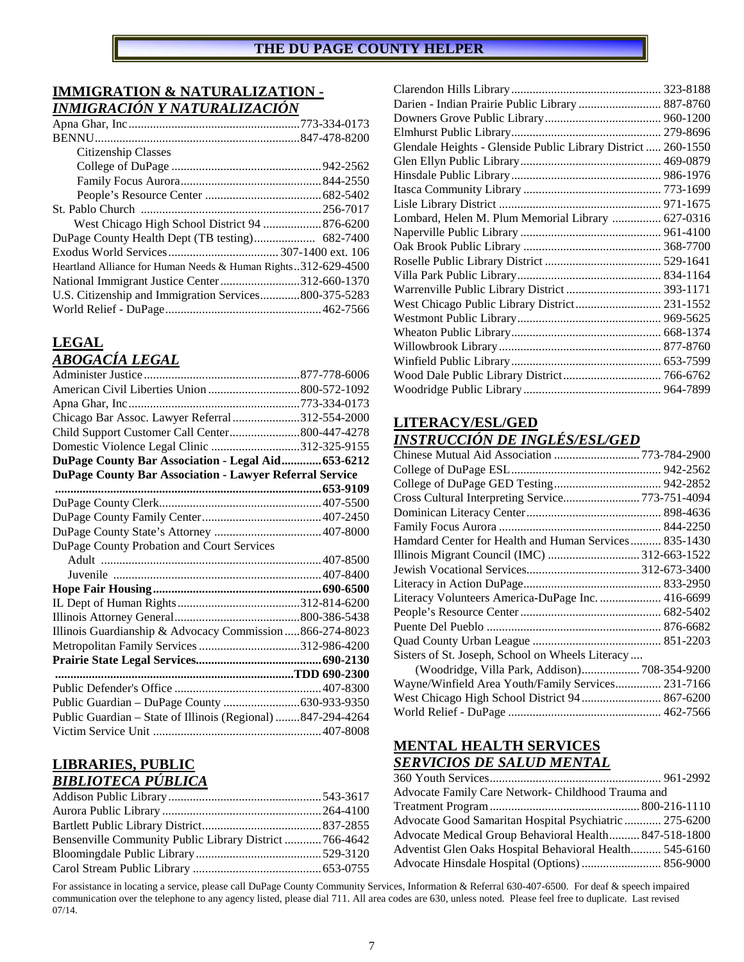## **IMMIGRATION & NATURALIZATION -**  *INMIGRACIÓN Y NATURALIZACIÓN*

| Citizenship Classes                                           |  |
|---------------------------------------------------------------|--|
|                                                               |  |
|                                                               |  |
|                                                               |  |
|                                                               |  |
|                                                               |  |
|                                                               |  |
|                                                               |  |
| Heartland Alliance for Human Needs & Human Rights312-629-4500 |  |
| National Immigrant Justice Center312-660-1370                 |  |
| U.S. Citizenship and Immigration Services800-375-5283         |  |
|                                                               |  |
|                                                               |  |

# **LEGAL**

# *ABOGACÍA LEGAL*

| Chicago Bar Assoc. Lawyer Referral312-554-2000                 |  |
|----------------------------------------------------------------|--|
| Child Support Customer Call Center800-447-4278                 |  |
| Domestic Violence Legal Clinic 312-325-9155                    |  |
| DuPage County Bar Association - Legal Aid 653-6212             |  |
| <b>DuPage County Bar Association - Lawyer Referral Service</b> |  |
|                                                                |  |
|                                                                |  |
|                                                                |  |
|                                                                |  |
| DuPage County Probation and Court Services                     |  |
|                                                                |  |
|                                                                |  |
|                                                                |  |
|                                                                |  |
|                                                                |  |
| Illinois Guardianship & Advocacy Commission  866-274-8023      |  |
| Metropolitan Family Services 312-986-4200                      |  |
|                                                                |  |
|                                                                |  |
|                                                                |  |
|                                                                |  |
| Public Guardian - State of Illinois (Regional) 847-294-4264    |  |
|                                                                |  |

# **LIBRARIES, PUBLIC**  *BIBLIOTECA PÚBLICA*

| Bensenville Community Public Library District  766-4642 |  |
|---------------------------------------------------------|--|
|                                                         |  |
|                                                         |  |

| Darien - Indian Prairie Public Library  887-8760              |  |
|---------------------------------------------------------------|--|
|                                                               |  |
|                                                               |  |
| Glendale Heights - Glenside Public Library District  260-1550 |  |
|                                                               |  |
|                                                               |  |
|                                                               |  |
|                                                               |  |
| Lombard, Helen M. Plum Memorial Library  627-0316             |  |
|                                                               |  |
|                                                               |  |
|                                                               |  |
|                                                               |  |
|                                                               |  |
| West Chicago Public Library District 231-1552                 |  |
|                                                               |  |
|                                                               |  |
|                                                               |  |
|                                                               |  |
| Wood Dale Public Library District 766-6762                    |  |
|                                                               |  |

# **LITERACY/ESL/GED**

# *INSTRUCCIÓN DE INGLÉS/ESL/GED*

| Chinese Mutual Aid Association 773-784-2900           |  |
|-------------------------------------------------------|--|
|                                                       |  |
|                                                       |  |
| Cross Cultural Interpreting Service 773-751-4094      |  |
|                                                       |  |
|                                                       |  |
| Hamdard Center for Health and Human Services 835-1430 |  |
|                                                       |  |
|                                                       |  |
|                                                       |  |
| Literacy Volunteers America-DuPage Inc.  416-6699     |  |
|                                                       |  |
|                                                       |  |
|                                                       |  |
| Sisters of St. Joseph, School on Wheels Literacy      |  |
| (Woodridge, Villa Park, Addison) 708-354-9200         |  |
| Wayne/Winfield Area Youth/Family Services 231-7166    |  |
| West Chicago High School District 94  867-6200        |  |
|                                                       |  |

# **MENTAL HEALTH SERVICES**  *SERVICIOS DE SALUD MENTAL*

| Advocate Family Care Network- Childhood Trauma and      |  |
|---------------------------------------------------------|--|
|                                                         |  |
| Advocate Good Samaritan Hospital Psychiatric  275-6200  |  |
| Advocate Medical Group Behavioral Health 847-518-1800   |  |
| Adventist Glen Oaks Hospital Behavioral Health 545-6160 |  |
|                                                         |  |
|                                                         |  |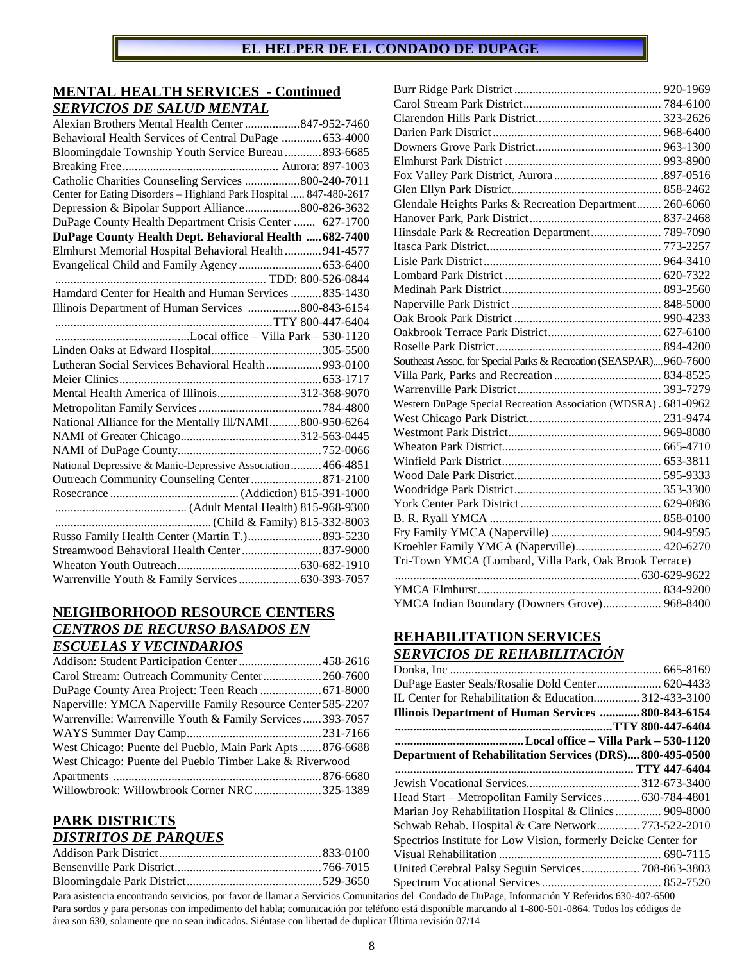## **MENTAL HEALTH SERVICES - Continued**  *SERVICIOS DE SALUD MENTAL*

| Alexian Brothers Mental Health Center 847-952-7460                 |
|--------------------------------------------------------------------|
| Behavioral Health Services of Central DuPage  653-4000             |
| Bloomingdale Township Youth Service Bureau  893-6685               |
|                                                                    |
| Catholic Charities Counseling Services 800-240-7011                |
| Center for Eating Disorders - Highland Park Hospital  847-480-2617 |
| Depression & Bipolar Support Alliance800-826-3632                  |
| DuPage County Health Department Crisis Center  627-1700            |
| DuPage County Health Dept. Behavioral Health  682-7400             |
| Elmhurst Memorial Hospital Behavioral Health  941-4577             |
|                                                                    |
|                                                                    |
| Hamdard Center for Health and Human Services  835-1430             |
| Illinois Department of Human Services 800-843-6154                 |
|                                                                    |
|                                                                    |
|                                                                    |
| Lutheran Social Services Behavioral Health 993-0100                |
|                                                                    |
| Mental Health America of Illinois312-368-9070                      |
|                                                                    |
| National Alliance for the Mentally Ill/NAMI800-950-6264            |
|                                                                    |
|                                                                    |
| National Depressive & Manic-Depressive Association  466-4851       |
| Outreach Community Counseling Center 871-2100                      |
|                                                                    |
|                                                                    |
|                                                                    |
| Russo Family Health Center (Martin T.) 893-5230                    |
| Streamwood Behavioral Health Center  837-9000                      |
|                                                                    |
|                                                                    |

# **NEIGHBORHOOD RESOURCE CENTERS**  *CENTROS DE RECURSO BASADOS EN ESCUELAS Y VECINDARIOS*

| Addison: Student Participation Center458-2616               |  |
|-------------------------------------------------------------|--|
| Carol Stream: Outreach Community Center 260-7600            |  |
|                                                             |  |
| Naperville: YMCA Naperville Family Resource Center 585-2207 |  |
| Warrenville: Warrenville Youth & Family Services  393-7057  |  |
|                                                             |  |
| West Chicago: Puente del Pueblo, Main Park Apts  876-6688   |  |
| West Chicago: Puente del Pueblo Timber Lake & Riverwood     |  |
|                                                             |  |
| Willowbrook: Willowbrook Corner NRC  325-1389               |  |
|                                                             |  |

#### **PARK DISTRICTS**  *DISTRITOS DE PARQUES*

| Glendale Heights Parks & Recreation Department 260-6060            |  |
|--------------------------------------------------------------------|--|
|                                                                    |  |
| Hinsdale Park & Recreation Department 789-7090                     |  |
|                                                                    |  |
|                                                                    |  |
|                                                                    |  |
|                                                                    |  |
|                                                                    |  |
|                                                                    |  |
|                                                                    |  |
|                                                                    |  |
| Southeast Assoc. for Special Parks & Recreation (SEASPAR) 960-7600 |  |
|                                                                    |  |
|                                                                    |  |
| Western DuPage Special Recreation Association (WDSRA). 681-0962    |  |
|                                                                    |  |
|                                                                    |  |
|                                                                    |  |
|                                                                    |  |
|                                                                    |  |
|                                                                    |  |
|                                                                    |  |
|                                                                    |  |
|                                                                    |  |
| Kroehler Family YMCA (Naperville) 420-6270                         |  |
| Tri-Town YMCA (Lombard, Villa Park, Oak Brook Terrace)             |  |
|                                                                    |  |
|                                                                    |  |
| YMCA Indian Boundary (Downers Grove) 968-8400                      |  |

# **REHABILITATION SERVICES**  *SERVICIOS DE REHABILITACIÓN*

| DuPage Easter Seals/Rosalie Dold Center 620-4433               |  |
|----------------------------------------------------------------|--|
| IL Center for Rehabilitation & Education 312-433-3100          |  |
| Illinois Department of Human Services  800-843-6154            |  |
|                                                                |  |
|                                                                |  |
| Department of Rehabilitation Services (DRS)800-495-0500        |  |
|                                                                |  |
|                                                                |  |
| Head Start – Metropolitan Family Services 630-784-4801         |  |
| Marian Joy Rehabilitation Hospital & Clinics  909-8000         |  |
| Schwab Rehab. Hospital & Care Network773-522-2010              |  |
| Spectrios Institute for Low Vision, formerly Deicke Center for |  |
|                                                                |  |
| United Cerebral Palsy Seguin Services 708-863-3803             |  |
|                                                                |  |
| .                                                              |  |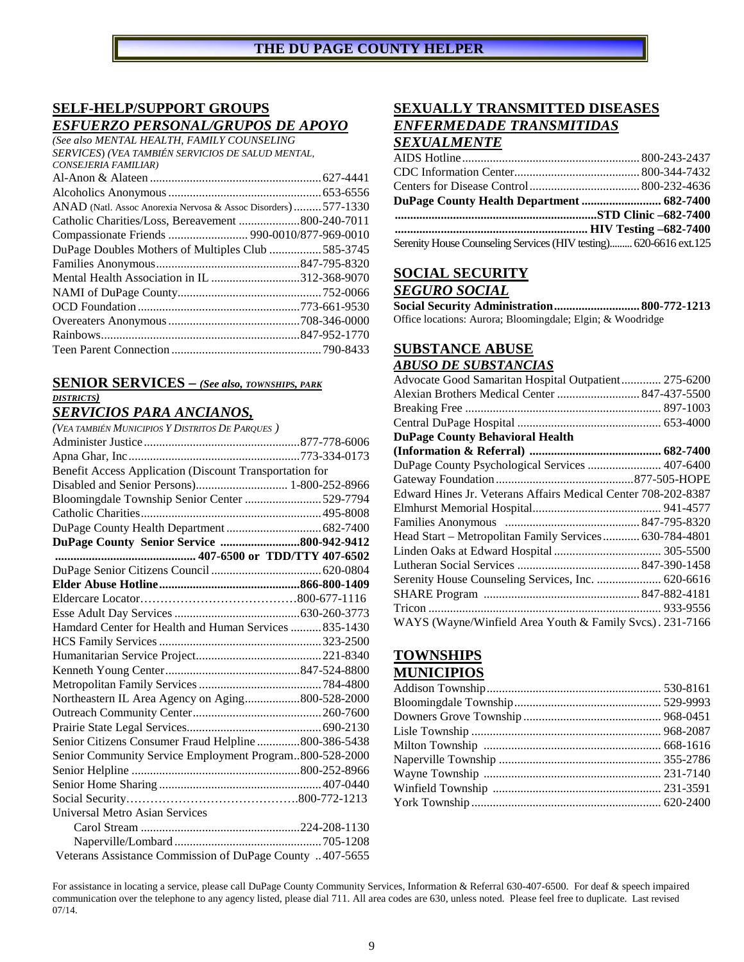# **SELF-HELP/SUPPORT GROUPS**  *ESFUERZO PERSONAL/GRUPOS DE APOYO*

*(See also MENTAL HEALTH, FAMILY COUNSELING SERVICES*) *(VEA TAMBIÉN SERVICIOS DE SALUD MENTAL, CONSEJERIA FAMILIAR)* Al-Anon & Alateen ........................................................ 627-4441

| ANAD (Natl. Assoc Anorexia Nervosa & Assoc Disorders)577-1330 |  |
|---------------------------------------------------------------|--|
|                                                               |  |
| Compassionate Friends  990-0010/877-969-0010                  |  |
| DuPage Doubles Mothers of Multiples Club 585-3745             |  |
|                                                               |  |
| Mental Health Association in IL 312-368-9070                  |  |
|                                                               |  |
|                                                               |  |
|                                                               |  |
|                                                               |  |
|                                                               |  |

## **SENIOR SERVICES –** *(See also, TOWNSHIPS, PARK DISTRICTS)*

# *SERVICIOS PARA ANCIANOS,*

| (VEA TAMBIÉN MUNICIPIOS Y DISTRITOS DE PARQUES)          |  |
|----------------------------------------------------------|--|
|                                                          |  |
|                                                          |  |
| Benefit Access Application (Discount Transportation for  |  |
| Disabled and Senior Persons) 1-800-252-8966              |  |
| Bloomingdale Township Senior Center 529-7794             |  |
|                                                          |  |
|                                                          |  |
| DuPage County Senior Service 800-942-9412                |  |
| 407-6500 or TDD/TTY 407-6502                             |  |
|                                                          |  |
|                                                          |  |
|                                                          |  |
|                                                          |  |
| Hamdard Center for Health and Human Services  835-1430   |  |
|                                                          |  |
|                                                          |  |
|                                                          |  |
|                                                          |  |
| Northeastern IL Area Agency on Aging800-528-2000         |  |
|                                                          |  |
|                                                          |  |
| Senior Citizens Consumer Fraud Helpline 800-386-5438     |  |
| Senior Community Service Employment Program800-528-2000  |  |
|                                                          |  |
|                                                          |  |
|                                                          |  |
| <b>Universal Metro Asian Services</b>                    |  |
|                                                          |  |
|                                                          |  |
| Veterans Assistance Commission of DuPage County 407-5655 |  |

# **SEXUALLY TRANSMITTED DISEASES**  *ENFERMEDADE TRANSMITIDAS*

# *SEXUALMENTE*

| DuPage County Health Department  682-7400                         |  |
|-------------------------------------------------------------------|--|
|                                                                   |  |
|                                                                   |  |
| Serenity House Counseling Services (HIV testing) 620-6616 ext.125 |  |

## **SOCIAL SECURITY**  *SEGURO SOCIAL*

**Social Security Administration ............................ 800-772-1213** Office locations: Aurora; Bloomingdale; Elgin; & Woodridge

# **SUBSTANCE ABUSE**

#### *ABUSO DE SUBSTANCIAS*

| Advocate Good Samaritan Hospital Outpatient 275-6200          |  |
|---------------------------------------------------------------|--|
|                                                               |  |
|                                                               |  |
|                                                               |  |
| <b>DuPage County Behavioral Health</b>                        |  |
|                                                               |  |
| DuPage County Psychological Services  407-6400                |  |
|                                                               |  |
| Edward Hines Jr. Veterans Affairs Medical Center 708-202-8387 |  |
|                                                               |  |
|                                                               |  |
| Head Start - Metropolitan Family Services 630-784-4801        |  |
|                                                               |  |
|                                                               |  |
| Serenity House Counseling Services, Inc.  620-6616            |  |
|                                                               |  |
|                                                               |  |
| WAYS (Wayne/Winfield Area Youth & Family Svcs.). 231-7166     |  |

# **TOWNSHIPS MUNICIPIOS**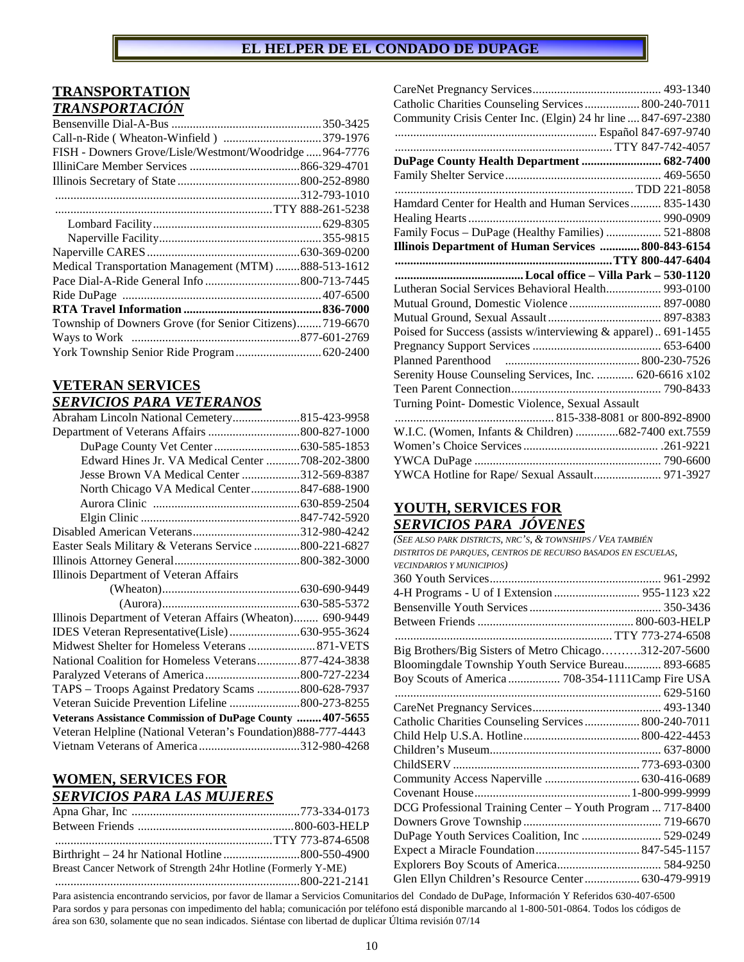# **TRANSPORTATION**  *TRANSPORTACIÓN*

| FISH - Downers Grove/Lisle/Westmont/Woodridge964-7776   |  |
|---------------------------------------------------------|--|
|                                                         |  |
|                                                         |  |
|                                                         |  |
|                                                         |  |
|                                                         |  |
|                                                         |  |
|                                                         |  |
| Medical Transportation Management (MTM) 888-513-1612    |  |
|                                                         |  |
|                                                         |  |
|                                                         |  |
| Township of Downers Grove (for Senior Citizens)719-6670 |  |
|                                                         |  |
| York Township Senior Ride Program  620-2400             |  |

## **VETERAN SERVICES**  *SERVICIOS PARA VETERANOS*

| Abraham Lincoln National Cemetery815-423-9958                 |  |
|---------------------------------------------------------------|--|
|                                                               |  |
|                                                               |  |
| Edward Hines Jr. VA Medical Center 708-202-3800               |  |
| Jesse Brown VA Medical Center 312-569-8387                    |  |
| North Chicago VA Medical Center847-688-1900                   |  |
|                                                               |  |
|                                                               |  |
|                                                               |  |
| Easter Seals Military & Veterans Service 800-221-6827         |  |
|                                                               |  |
| Illinois Department of Veteran Affairs                        |  |
|                                                               |  |
|                                                               |  |
| Illinois Department of Veteran Affairs (Wheaton) 690-9449     |  |
|                                                               |  |
| Midwest Shelter for Homeless Veterans  871-VETS               |  |
| National Coalition for Homeless Veterans877-424-3838          |  |
|                                                               |  |
| TAPS - Troops Against Predatory Scams 800-628-7937            |  |
| Veteran Suicide Prevention Lifeline 800-273-8255              |  |
| Veterans Assistance Commission of DuPage County  407-5655     |  |
| Veteran Helpline (National Veteran's Foundation) 888-777-4443 |  |
| Vietnam Veterans of America 312-980-4268                      |  |

## **WOMEN, SERVICES FOR**  *SERVICIOS PARA LAS MUJERES*

| Breast Cancer Network of Strength 24hr Hotline (Formerly Y-ME) |  |
|----------------------------------------------------------------|--|
|                                                                |  |

| Catholic Charities Counseling Services  800-240-7011           |  |
|----------------------------------------------------------------|--|
| Community Crisis Center Inc. (Elgin) 24 hr line  847-697-2380  |  |
|                                                                |  |
|                                                                |  |
| DuPage County Health Department  682-7400                      |  |
|                                                                |  |
|                                                                |  |
| Hamdard Center for Health and Human Services 835-1430          |  |
|                                                                |  |
| Family Focus - DuPage (Healthy Families)  521-8808             |  |
| Illinois Department of Human Services  800-843-6154            |  |
|                                                                |  |
|                                                                |  |
| Lutheran Social Services Behavioral Health 993-0100            |  |
|                                                                |  |
|                                                                |  |
| Poised for Success (assists w/interviewing & apparel) 691-1455 |  |
|                                                                |  |
|                                                                |  |
| Serenity House Counseling Services, Inc.  620-6616 x102        |  |
|                                                                |  |
| Turning Point- Domestic Violence, Sexual Assault               |  |
|                                                                |  |
| W.I.C. (Women, Infants & Children) 682-7400 ext.7559           |  |
|                                                                |  |
|                                                                |  |
| YWCA Hotline for Rape/ Sexual Assault 971-3927                 |  |

## **YOUTH, SERVICES FOR**  *SERVICIOS PARA JÓVENES*

| (SEE ALSO PARK DISTRICTS, NRC'S, & TOWNSHIPS / VEA TAMBIÉN    |  |
|---------------------------------------------------------------|--|
| DISTRITOS DE PARQUES, CENTROS DE RECURSO BASADOS EN ESCUELAS, |  |
| <b>VECINDARIOS Y MUNICIPIOS)</b>                              |  |
|                                                               |  |
| 4-H Programs - U of I Extension  955-1123 x22                 |  |
|                                                               |  |
|                                                               |  |
|                                                               |  |
| Big Brothers/Big Sisters of Metro Chicago312-207-5600         |  |
| Bloomingdale Township Youth Service Bureau 893-6685           |  |
| Boy Scouts of America  708-354-1111Camp Fire USA              |  |
|                                                               |  |
|                                                               |  |
| Catholic Charities Counseling Services  800-240-7011          |  |
|                                                               |  |
|                                                               |  |
|                                                               |  |
|                                                               |  |
|                                                               |  |
| DCG Professional Training Center - Youth Program  717-8400    |  |
|                                                               |  |
| DuPage Youth Services Coalition, Inc  529-0249                |  |
|                                                               |  |
|                                                               |  |
| Glen Ellyn Children's Resource Center 630-479-9919            |  |
|                                                               |  |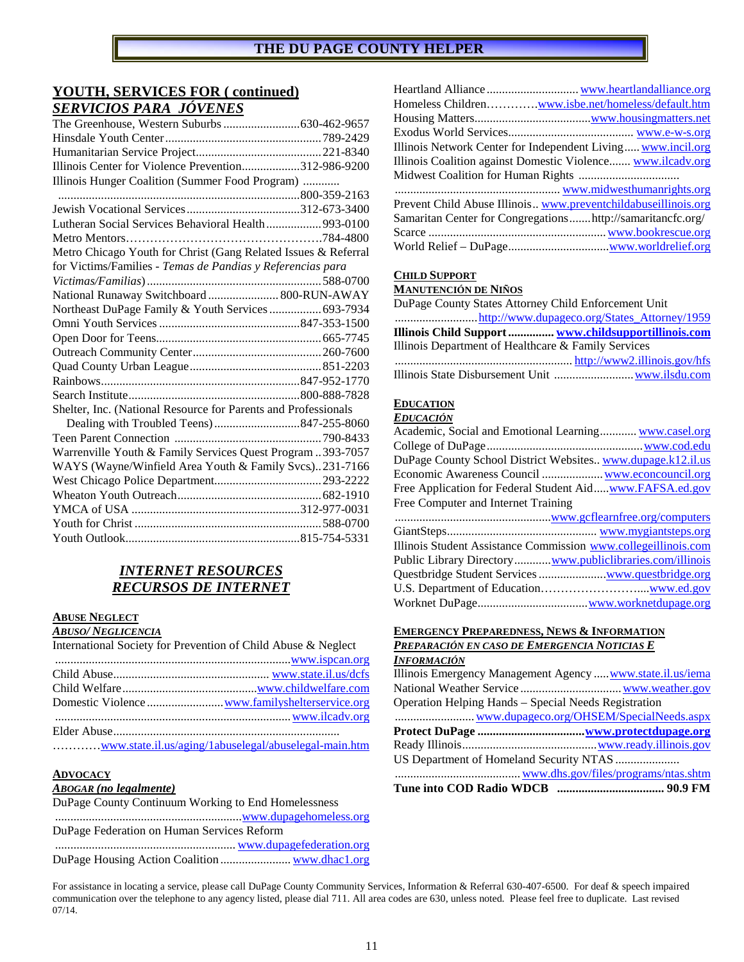## **YOUTH, SERVICES FOR ( continued)**  *SERVICIOS PARA JÓVENES*

| Illinois Center for Violence Prevention312-986-9200            |  |
|----------------------------------------------------------------|--|
| Illinois Hunger Coalition (Summer Food Program)                |  |
|                                                                |  |
|                                                                |  |
| Lutheran Social Services Behavioral Health  993-0100           |  |
|                                                                |  |
| Metro Chicago Youth for Christ (Gang Related Issues & Referral |  |
| for Victims/Families - Temas de Pandias y Referencias para     |  |
|                                                                |  |
| National Runaway Switchboard  800-RUN-AWAY                     |  |
| Northeast DuPage Family & Youth Services  693-7934             |  |
|                                                                |  |
|                                                                |  |
|                                                                |  |
|                                                                |  |
|                                                                |  |
|                                                                |  |
| Shelter, Inc. (National Resource for Parents and Professionals |  |
|                                                                |  |
|                                                                |  |
| Warrenville Youth & Family Services Quest Program 393-7057     |  |
| WAYS (Wayne/Winfield Area Youth & Family Svcs)231-7166         |  |
|                                                                |  |
|                                                                |  |
|                                                                |  |
|                                                                |  |
|                                                                |  |

# *INTERNET RESOURCES RECURSOS DE INTERNET*

### **ABUSE NEGLECT**

*ABUSO/ NEGLICENCIA* 

| International Society for Prevention of Child Abuse & Neglect |                 |
|---------------------------------------------------------------|-----------------|
|                                                               | www.ispcan.org. |
|                                                               |                 |
|                                                               |                 |
|                                                               |                 |
|                                                               | www.ilcadv.org. |
|                                                               |                 |
|                                                               |                 |

#### **ADVOCACY**

#### *ABOGAR (no legalmente)*

DuPage County Continuum Working to End Homelessness ............................................................. www.dupagehomeless.org DuPage Federation on Human Services Reform ........................................................... www.dupagefederation.org DuPage Housing Action Coalition ....................... www.dhac1.org

| Homeless Children <u>www.isbe.net/homeless/default.htm</u>     |
|----------------------------------------------------------------|
|                                                                |
|                                                                |
| Illinois Network Center for Independent Living www.incil.org   |
| Illinois Coalition against Domestic Violence www.ilcadv.org    |
|                                                                |
|                                                                |
| Prevent Child Abuse Illinois www.preventchildabuseillinois.org |
| Samaritan Center for Congregationshttp://samaritancfc.org/     |
|                                                                |
|                                                                |

#### **CHILD SUPPORT**

#### **MANUTENCIÓN DE NIÑOS**

| DuPage County States Attorney Child Enforcement Unit |  |
|------------------------------------------------------|--|
|                                                      |  |
| Illinois Child Support  www.childsupportillinois.com |  |
| Illinois Department of Healthcare & Family Services  |  |
|                                                      |  |
|                                                      |  |

#### **EDUCATION**

#### *EDUCACIÓN*

#### **EMERGENCY PREPAREDNESS, NEWS & INFORMATION**  *PREPARACIÓN EN CASO DE EMERGENCIA NOTICIAS E*

| <b>INFORMACIÓN</b>                                         |  |
|------------------------------------------------------------|--|
| Illinois Emergency Management Agency  www.state.il.us/iema |  |
|                                                            |  |
| Operation Helping Hands – Special Needs Registration       |  |
|                                                            |  |
|                                                            |  |
|                                                            |  |
|                                                            |  |
|                                                            |  |
|                                                            |  |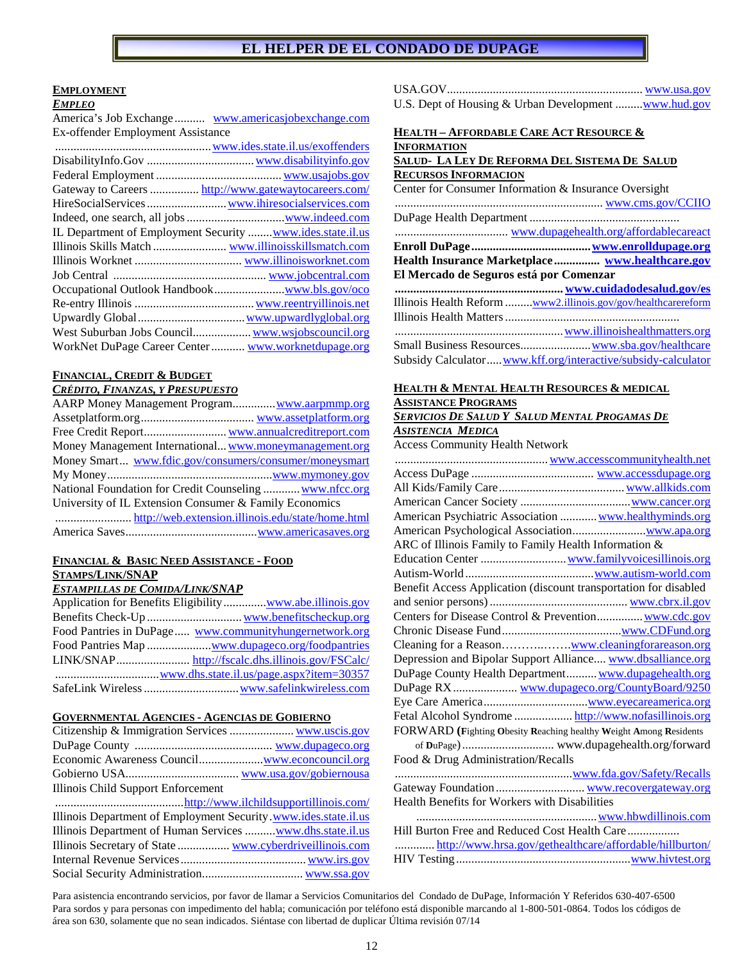#### **EMPLOYMENT**

#### *EMPLEO*

America's Job Exchange .......... www.americasjobexchange.com Ex-offender Employment Assistance

| Gateway to Careers  http://www.gatewaytocareers.com/       |  |
|------------------------------------------------------------|--|
|                                                            |  |
|                                                            |  |
| IL Department of Employment Security  www.ides.state.il.us |  |
|                                                            |  |
|                                                            |  |
|                                                            |  |
|                                                            |  |
|                                                            |  |
|                                                            |  |
|                                                            |  |
| WorkNet DuPage Career Center  www.worknetdupage.org        |  |
|                                                            |  |

#### **FINANCIAL, CREDIT & BUDGET**

*CRÉDITO, FINANZAS, Y PRESUPUESTO*

| AARP Money Management Program www.aarpmmp.org           |
|---------------------------------------------------------|
|                                                         |
|                                                         |
| Money Management International www.moneymanagement.org  |
| Money Smart www.fdic.gov/consumers/consumer/moneysmart  |
|                                                         |
| National Foundation for Credit Counseling  www.nfcc.org |
| University of IL Extension Consumer & Family Economics  |
|                                                         |
|                                                         |

#### **FINANCIAL & BASIC NEED ASSISTANCE - FOOD STAMPS/LINK/SNAP**

#### *ESTAMPILLAS DE COMIDA/LINK/SNAP*

| Application for Benefits Eligibility <u>www.abe.illinois.gov</u> |
|------------------------------------------------------------------|
|                                                                  |
| Food Pantries in DuPage www.communityhungernetwork.org           |
|                                                                  |
|                                                                  |
|                                                                  |
|                                                                  |

#### **GOVERNMENTAL AGENCIES - AGENCIAS DE GOBIERNO**

| Illinois Child Support Enforcement                              |  |
|-----------------------------------------------------------------|--|
|                                                                 |  |
| Illinois Department of Employment Security.www.ides.state.il.us |  |
| Illinois Department of Human Services  www.dhs.state.il.us      |  |
| Illinois Secretary of State  www.cyberdriveillinois.com         |  |
|                                                                 |  |
|                                                                 |  |
|                                                                 |  |

| U.S. Dept of Housing & Urban Development <u>www.hud.gov</u> |  |
|-------------------------------------------------------------|--|
|                                                             |  |

## **HEALTH – AFFORDABLE CARE ACT RESOURCE & INFORMATION**

#### **SALUD- LA LEY DE REFORMA DEL SISTEMA DE SALUD RECURSOS INFORMACION**

| Center for Consumer Information & Insurance Oversight                |
|----------------------------------------------------------------------|
|                                                                      |
|                                                                      |
|                                                                      |
|                                                                      |
|                                                                      |
| El Mercado de Seguros está por Comenzar                              |
|                                                                      |
| Illinois Health Reform <u>www2.illinois.gov/gov/healthcarereform</u> |
|                                                                      |
| www.illinoishealthmatters.org                                        |
|                                                                      |
| Subsidy Calculator www.kff.org/interactive/subsidy-calculator        |

## **HEALTH & MENTAL HEALTH RESOURCES & MEDICAL ASSISTANCE PROGRAMS**

#### *SERVICIOS DE SALUD Y SALUD MENTAL PROGAMAS DE ASISTENCIA MEDICA*

Access Community Health Network

| American Psychiatric Association  www.healthyminds.org            |  |
|-------------------------------------------------------------------|--|
|                                                                   |  |
| ARC of Illinois Family to Family Health Information &             |  |
|                                                                   |  |
|                                                                   |  |
| Benefit Access Application (discount transportation for disabled  |  |
|                                                                   |  |
| Centers for Disease Control & Prevention www.cdc.gov              |  |
|                                                                   |  |
| Cleaning for a Reasonwww.cleaningforareason.org                   |  |
| Depression and Bipolar Support Alliance www.dbsalliance.org       |  |
| DuPage County Health Department www.dupagehealth.org              |  |
|                                                                   |  |
|                                                                   |  |
| Fetal Alcohol Syndrome  http://www.nofasillinois.org              |  |
| FORWARD (Fighting Obesity Reaching healthy Weight Among Residents |  |
|                                                                   |  |
| Food & Drug Administration/Recalls                                |  |
|                                                                   |  |
| Gateway Foundation  www.recovergateway.org                        |  |
| Health Benefits for Workers with Disabilities                     |  |
| www.hbwdillinois.com                                              |  |
| Hill Burton Free and Reduced Cost Health Care                     |  |
| http://www.hrsa.gov/gethealthcare/affordable/hillburton/          |  |
|                                                                   |  |
|                                                                   |  |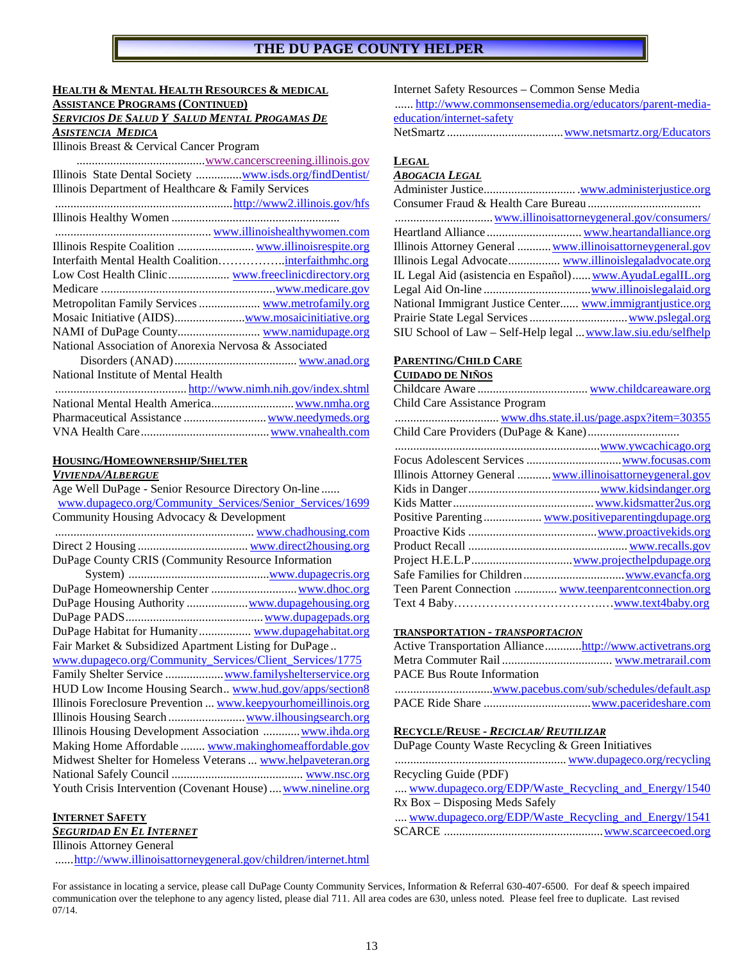### **HEALTH & MENTAL HEALTH RESOURCES & MEDICAL**

**ASSISTANCE PROGRAMS (CONTINUED)** 

#### *SERVICIOS DE SALUD Y SALUD MENTAL PROGAMAS DE ASISTENCIA MEDICA*

| Illinois Breast & Cervical Cancer Program                      |
|----------------------------------------------------------------|
|                                                                |
| Illinois State Dental Society <u>www.isds.org/findDentist/</u> |
| Illinois Department of Healthcare & Family Services            |
|                                                                |
|                                                                |
|                                                                |
| Illinois Respite Coalition  www.illinoisrespite.org            |
|                                                                |
|                                                                |
|                                                                |
| Metropolitan Family Services  www.metrofamily.org              |
| Mosaic Initiative (AIDS) <u>www.mosaicinitiative.org</u>       |
| NAMI of DuPage County www.namidupage.org                       |
| National Association of Anorexia Nervosa & Associated          |
|                                                                |
| National Institute of Mental Health                            |
|                                                                |
|                                                                |
|                                                                |
|                                                                |

# **HOUSING/HOMEOWNERSHIP/SHELTER**

#### *VIVIENDA/ALBERGUE*

| Age Well DuPage - Senior Resource Directory On-line           |
|---------------------------------------------------------------|
| www.dupageco.org/Community Services/Senior Services/1699      |
| Community Housing Advocacy & Development                      |
|                                                               |
|                                                               |
| DuPage County CRIS (Community Resource Information            |
|                                                               |
|                                                               |
| DuPage Housing Authority  www.dupagehousing.org               |
|                                                               |
| DuPage Habitat for Humanity www.dupagehabitat.org             |
| Fair Market & Subsidized Apartment Listing for DuPage         |
| www.dupageco.org/Community Services/Client Services/1775      |
| Family Shelter Service  www.familyshelterservice.org          |
| HUD Low Income Housing Search www.hud.gov/apps/section8       |
| Illinois Foreclosure Prevention  www.keepyourhomeillinois.org |
|                                                               |
| Illinois Housing Development Association  www.ihda.org        |
| Making Home Affordable  www.makinghomeaffordable.gov          |
| Midwest Shelter for Homeless Veterans  www.helpaveteran.org   |
|                                                               |
| Youth Crisis Intervention (Covenant House)  www.nineline.org  |

#### **INTERNET SAFETY**

# *SEGURIDAD EN EL INTERNET*

Illinois Attorney General

...... http://www.illinoisattorneygeneral.gov/children/internet.html

Internet Safety Resources – Common Sense Media

 ...... http://www.commonsensemedia.org/educators/parent-mediaeducation/internet-safety

NetSmartz ...................................... www.netsmartz.org/Educators

#### **LEGAL** *ABOGACIA LEGAL*

| ADUUALIA LEUAL                                                |  |
|---------------------------------------------------------------|--|
|                                                               |  |
|                                                               |  |
|                                                               |  |
|                                                               |  |
| Illinois Attorney General  www.illinoisattorneygeneral.gov    |  |
|                                                               |  |
| IL Legal Aid (asistencia en Español) www.AyudaLegalIL.org     |  |
|                                                               |  |
| National Immigrant Justice Center www.immigrantjustice.org    |  |
|                                                               |  |
| SIU School of Law - Self-Help legal  www.law.siu.edu/selfhelp |  |

## **PARENTING/CHILD CARE**

## **CUIDADO DE NIÑOS**

| Child Care Assistance Program |                                                            |
|-------------------------------|------------------------------------------------------------|
|                               |                                                            |
|                               |                                                            |
|                               | www.ywcachicago.org.                                       |
|                               |                                                            |
|                               | Illinois Attorney General  www.illinoisattorneygeneral.gov |
|                               |                                                            |
|                               |                                                            |
|                               | Positive Parenting  www.positiveparentingdupage.org        |
|                               |                                                            |
|                               |                                                            |
|                               |                                                            |
|                               |                                                            |
|                               | Teen Parent Connection  www.teenparent connection.org      |
|                               |                                                            |

#### **TRANSPORTATION -** *TRANSPORTACION*

| Active Transportation Alliancehttp://www.activetrans.org |  |
|----------------------------------------------------------|--|
|                                                          |  |
| <b>PACE Bus Route Information</b>                        |  |
|                                                          |  |
|                                                          |  |

#### **RECYCLE/REUSE -** *RECICLAR/ REUTILIZAR*

| DuPage County Waste Recycling & Green Initiatives    |  |
|------------------------------------------------------|--|
|                                                      |  |
| Recycling Guide (PDF)                                |  |
| www.dupageco.org/EDP/Waste Recycling and Energy/1540 |  |
| Rx Box – Disposing Meds Safely                       |  |
| www.dupageco.org/EDP/Waste_Recycling_and_Energy/1541 |  |
|                                                      |  |